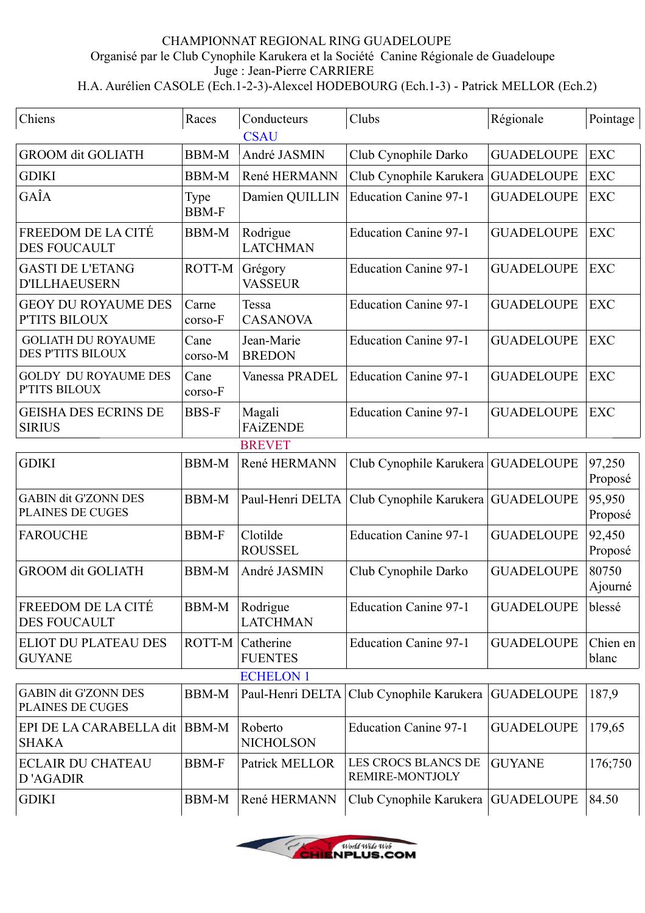## CHAMPIONNAT REGIONAL RING GUADELOUPE Organisé par le Club Cynophile Karukera et la Société Canine Régionale de Guadeloupe Juge : Jean-Pierre CARRIERE H.A. Aurélien CASOLE (Ech.1-2-3)-Alexcel HODEBOURG (Ech.1-3) - Patrick MELLOR (Ech.2)

| Chiens                                                 | Races                | Conducteurs                 | Clubs                                  | Régionale         | Pointage          |  |  |
|--------------------------------------------------------|----------------------|-----------------------------|----------------------------------------|-------------------|-------------------|--|--|
| <b>CSAU</b>                                            |                      |                             |                                        |                   |                   |  |  |
| <b>GROOM dit GOLIATH</b>                               | <b>BBM-M</b>         | André JASMIN                | Club Cynophile Darko                   | <b>GUADELOUPE</b> | <b>EXC</b>        |  |  |
| <b>GDIKI</b>                                           | <b>BBM-M</b>         | René HERMANN                | Club Cynophile Karukera                | <b>GUADELOUPE</b> | <b>EXC</b>        |  |  |
| GAÎA                                                   | Type<br><b>BBM-F</b> | Damien QUILLIN              | <b>Education Canine 97-1</b>           | <b>GUADELOUPE</b> | <b>EXC</b>        |  |  |
| FREEDOM DE LA CITÉ<br><b>DES FOUCAULT</b>              | <b>BBM-M</b>         | Rodrigue<br><b>LATCHMAN</b> | <b>Education Canine 97-1</b>           | <b>GUADELOUPE</b> | <b>EXC</b>        |  |  |
| <b>GASTI DE L'ETANG</b><br><b>D'ILLHAEUSERN</b>        | ROTT-M               | Grégory<br><b>VASSEUR</b>   | <b>Education Canine 97-1</b>           | <b>GUADELOUPE</b> | <b>EXC</b>        |  |  |
| <b>GEOY DU ROYAUME DES</b><br>P'TITS BILOUX            | Carne<br>corso-F     | Tessa<br><b>CASANOVA</b>    | <b>Education Canine 97-1</b>           | <b>GUADELOUPE</b> | <b>EXC</b>        |  |  |
| <b>GOLIATH DU ROYAUME</b><br><b>DES P'TITS BILOUX</b>  | Cane<br>corso-M      | Jean-Marie<br><b>BREDON</b> | <b>Education Canine 97-1</b>           | <b>GUADELOUPE</b> | <b>EXC</b>        |  |  |
| <b>GOLDY DU ROYAUME DES</b><br>P'TITS BILOUX           | Cane<br>corso-F      | Vanessa PRADEL              | <b>Education Canine 97-1</b>           | <b>GUADELOUPE</b> | <b>EXC</b>        |  |  |
| <b>GEISHA DES ECRINS DE</b><br><b>SIRIUS</b>           | <b>BBS-F</b>         | Magali<br><b>FAiZENDE</b>   | <b>Education Canine 97-1</b>           | <b>GUADELOUPE</b> | <b>EXC</b>        |  |  |
|                                                        |                      | <b>BREVET</b>               |                                        |                   |                   |  |  |
| <b>GDIKI</b>                                           | <b>BBM-M</b>         | René HERMANN                | Club Cynophile Karukera GUADELOUPE     |                   | 97,250<br>Proposé |  |  |
| <b>GABIN dit G'ZONN DES</b><br><b>PLAINES DE CUGES</b> | <b>BBM-M</b>         | Paul-Henri DELTA            | Club Cynophile Karukera                | <b>GUADELOUPE</b> | 95,950<br>Proposé |  |  |
| <b>FAROUCHE</b>                                        | <b>BBM-F</b>         | Clotilde<br><b>ROUSSEL</b>  | <b>Education Canine 97-1</b>           | <b>GUADELOUPE</b> | 92,450<br>Proposé |  |  |
| <b>GROOM dit GOLIATH</b>                               | <b>BBM-M</b>         | André JASMIN                | Club Cynophile Darko                   | <b>GUADELOUPE</b> | 80750<br>Ajourné  |  |  |
| FREEDOM DE LA CITÉ<br><b>DES FOUCAULT</b>              | <b>BBM-M</b>         | Rodrigue<br><b>LATCHMAN</b> | <b>Education Canine 97-1</b>           | <b>GUADELOUPE</b> | blessé            |  |  |
| <b>ELIOT DU PLATEAU DES</b><br><b>GUYANE</b>           | ROTT-M               | Catherine<br><b>FUENTES</b> | <b>Education Canine 97-1</b>           | <b>GUADELOUPE</b> | Chien en<br>blanc |  |  |
| <b>ECHELON 1</b>                                       |                      |                             |                                        |                   |                   |  |  |
| <b>GABIN dit G'ZONN DES</b><br>PLAINES DE CUGES        | <b>BBM-M</b>         | Paul-Henri DELTA            | Club Cynophile Karukera                | <b>GUADELOUPE</b> | 187,9             |  |  |
| EPI DE LA CARABELLA dit<br><b>SHAKA</b>                | <b>BBM-M</b>         | Roberto<br><b>NICHOLSON</b> | <b>Education Canine 97-1</b>           | <b>GUADELOUPE</b> | 179,65            |  |  |
| <b>ECLAIR DU CHATEAU</b><br>D'AGADIR                   | <b>BBM-F</b>         | Patrick MELLOR              | LES CROCS BLANCS DE<br>REMIRE-MONTJOLY | <b>GUYANE</b>     | 176;750           |  |  |
| <b>GDIKI</b>                                           | <b>BBM-M</b>         | René HERMANN                | Club Cynophile Karukera                | <b>GUADELOUPE</b> | 84.50             |  |  |